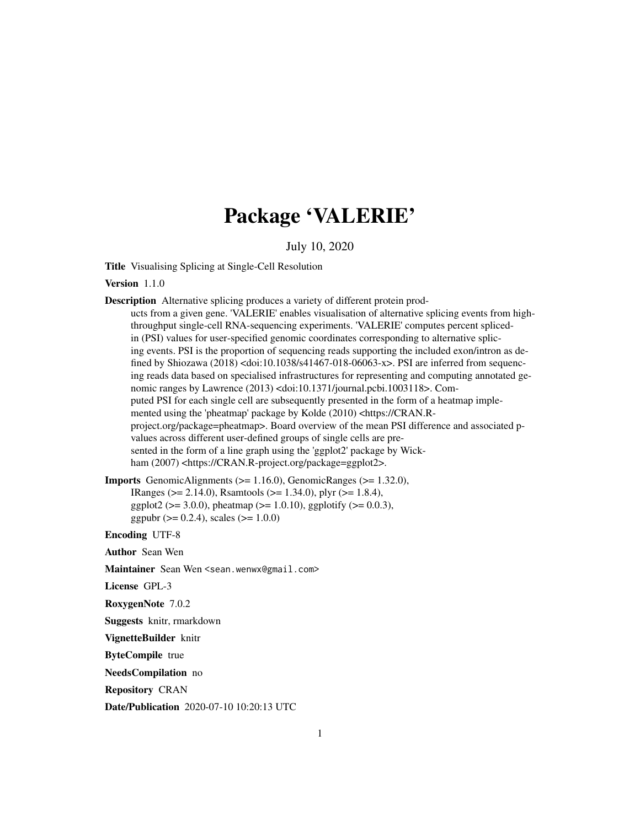# Package 'VALERIE'

July 10, 2020

Title Visualising Splicing at Single-Cell Resolution

Version 1.1.0

```
Description Alternative splicing produces a variety of different protein prod-
      ucts from a given gene. 'VALERIE' enables visualisation of alternative splicing events from high-
      throughput single-cell RNA-sequencing experiments. 'VALERIE' computes percent spliced-
      in (PSI) values for user-specified genomic coordinates corresponding to alternative splic-
      ing events. PSI is the proportion of sequencing reads supporting the included exon/intron as de-
      fined by Shiozawa (2018) <doi:10.1038/s41467-018-06063-x>. PSI are inferred from sequenc-
      ing reads data based on specialised infrastructures for representing and computing annotated ge-
      nomic ranges by Lawrence (2013) <doi:10.1371/journal.pcbi.1003118>. Com-
      puted PSI for each single cell are subsequently presented in the form of a heatmap imple-
      mented using the 'pheatmap' package by Kolde (2010) <https://CRAN.R-
      project.org/package=pheatmap>. Board overview of the mean PSI difference and associated p-
      values across different user-defined groups of single cells are pre-
      sented in the form of a line graph using the 'ggplot2' package by Wick-
      ham (2007) <https://CRAN.R-project.org/package=ggplot2>.
Imports GenomicAlignments (>= 1.16.0), GenomicRanges (>= 1.32.0),
      IRanges (>= 2.14.0), Rsamtools (>= 1.34.0), plyr (>= 1.8.4),
      ggplot2 (> = 3.0.0), pheatmap (> = 1.0.10), ggplotify (> = 0.0.3),
      ggpubr (> = 0.2.4), scales (> = 1.0.0)
```
Encoding UTF-8

Author Sean Wen

Maintainer Sean Wen <sean.wenwx@gmail.com>

License GPL-3

RoxygenNote 7.0.2

Suggests knitr, rmarkdown

VignetteBuilder knitr

ByteCompile true

NeedsCompilation no

Repository CRAN

Date/Publication 2020-07-10 10:20:13 UTC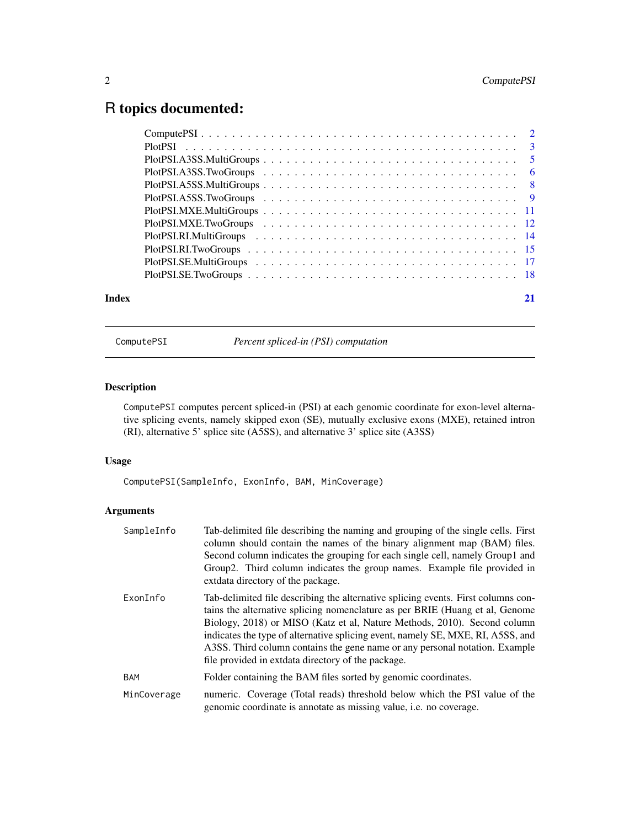## <span id="page-1-0"></span>R topics documented:

ComputePSI *Percent spliced-in (PSI) computation*

### Description

ComputePSI computes percent spliced-in (PSI) at each genomic coordinate for exon-level alternative splicing events, namely skipped exon (SE), mutually exclusive exons (MXE), retained intron (RI), alternative 5' splice site (A5SS), and alternative 3' splice site (A3SS)

#### Usage

ComputePSI(SampleInfo, ExonInfo, BAM, MinCoverage)

| SampleInfo  | Tab-delimited file describing the naming and grouping of the single cells. First<br>column should contain the names of the binary alignment map (BAM) files.<br>Second column indicates the grouping for each single cell, namely Group1 and<br>Group2. Third column indicates the group names. Example file provided in<br>extdata directory of the package.                                                                                                         |
|-------------|-----------------------------------------------------------------------------------------------------------------------------------------------------------------------------------------------------------------------------------------------------------------------------------------------------------------------------------------------------------------------------------------------------------------------------------------------------------------------|
| ExonInfo    | Tab-delimited file describing the alternative splicing events. First columns con-<br>tains the alternative splicing nomenclature as per BRIE (Huang et al, Genome<br>Biology, 2018) or MISO (Katz et al, Nature Methods, 2010). Second column<br>indicates the type of alternative splicing event, namely SE, MXE, RI, A5SS, and<br>A3SS. Third column contains the gene name or any personal notation. Example<br>file provided in extdata directory of the package. |
| <b>BAM</b>  | Folder containing the BAM files sorted by genomic coordinates.                                                                                                                                                                                                                                                                                                                                                                                                        |
| MinCoverage | numeric. Coverage (Total reads) threshold below which the PSI value of the<br>genomic coordinate is annotate as missing value, <i>i.e.</i> no coverage.                                                                                                                                                                                                                                                                                                               |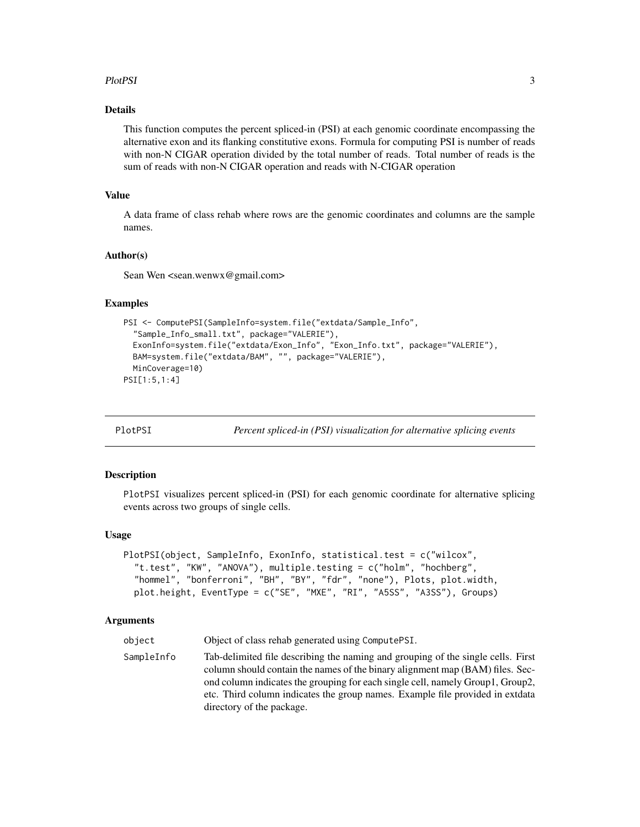#### <span id="page-2-0"></span>PlotPSI 3

#### Details

This function computes the percent spliced-in (PSI) at each genomic coordinate encompassing the alternative exon and its flanking constitutive exons. Formula for computing PSI is number of reads with non-N CIGAR operation divided by the total number of reads. Total number of reads is the sum of reads with non-N CIGAR operation and reads with N-CIGAR operation

#### Value

A data frame of class rehab where rows are the genomic coordinates and columns are the sample names.

#### Author(s)

Sean Wen <sean.wenwx@gmail.com>

#### Examples

```
PSI <- ComputePSI(SampleInfo=system.file("extdata/Sample_Info",
  "Sample_Info_small.txt", package="VALERIE"),
 ExonInfo=system.file("extdata/Exon_Info", "Exon_Info.txt", package="VALERIE"),
 BAM=system.file("extdata/BAM", "", package="VALERIE"),
 MinCoverage=10)
PSI[1:5,1:4]
```
PlotPSI *Percent spliced-in (PSI) visualization for alternative splicing events*

#### **Description**

PlotPSI visualizes percent spliced-in (PSI) for each genomic coordinate for alternative splicing events across two groups of single cells.

#### Usage

```
PlotPSI(object, SampleInfo, ExonInfo, statistical.test = c("wilcox",
  "t.test", "KW", "ANOVA"), multiple.testing = c("holm", "hochberg",
  "hommel", "bonferroni", "BH", "BY", "fdr", "none"), Plots, plot.width,
 plot.height, EventType = c("SE", "MXE", "RI", "A5SS", "A3SS"), Groups)
```
#### Arguments

object Object of class rehab generated using ComputePSI.

SampleInfo Tab-delimited file describing the naming and grouping of the single cells. First column should contain the names of the binary alignment map (BAM) files. Second column indicates the grouping for each single cell, namely Group1, Group2, etc. Third column indicates the group names. Example file provided in extdata directory of the package.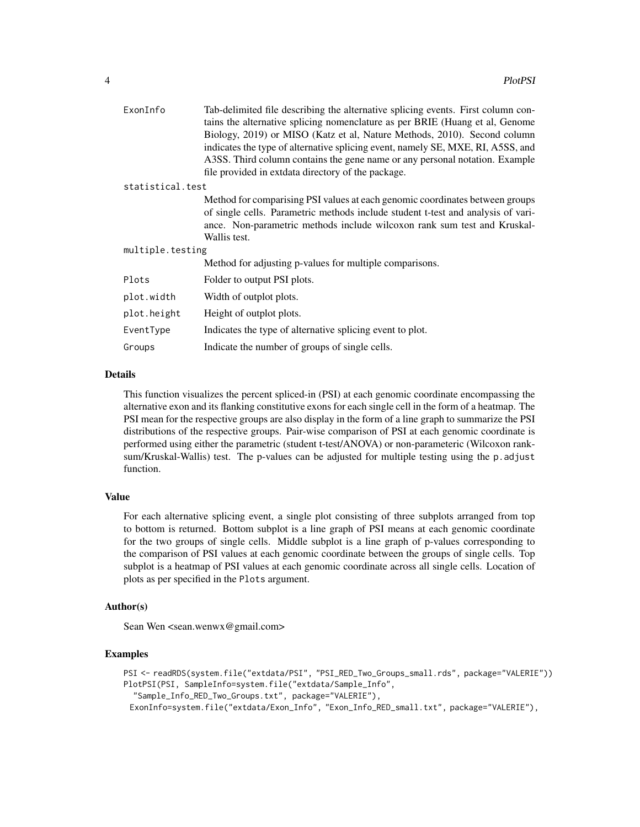| ExonInfo         | Tab-delimited file describing the alternative splicing events. First column con-                                                                         |
|------------------|----------------------------------------------------------------------------------------------------------------------------------------------------------|
|                  | tains the alternative splicing nomenclature as per BRIE (Huang et al, Genome<br>Biology, 2019) or MISO (Katz et al, Nature Methods, 2010). Second column |
|                  | indicates the type of alternative splicing event, namely SE, MXE, RI, A5SS, and                                                                          |
|                  | A3SS. Third column contains the gene name or any personal notation. Example                                                                              |
|                  | file provided in extdata directory of the package.                                                                                                       |
| statistical.test |                                                                                                                                                          |
|                  | Method for comparising PSI values at each genomic coordinates between groups                                                                             |
|                  | of single cells. Parametric methods include student t-test and analysis of vari-                                                                         |
|                  | ance. Non-parametric methods include wilcoxon rank sum test and Kruskal-                                                                                 |
|                  | Wallis test.                                                                                                                                             |
| multiple.testing |                                                                                                                                                          |
|                  | Method for adjusting p-values for multiple comparisons.                                                                                                  |
| Plots            | Folder to output PSI plots.                                                                                                                              |
| plot.width       | Width of outplot plots.                                                                                                                                  |
| plot.height      | Height of outplot plots.                                                                                                                                 |
| EventType        | Indicates the type of alternative splicing event to plot.                                                                                                |
| Groups           | Indicate the number of groups of single cells.                                                                                                           |
|                  |                                                                                                                                                          |

This function visualizes the percent spliced-in (PSI) at each genomic coordinate encompassing the alternative exon and its flanking constitutive exons for each single cell in the form of a heatmap. The PSI mean for the respective groups are also display in the form of a line graph to summarize the PSI distributions of the respective groups. Pair-wise comparison of PSI at each genomic coordinate is performed using either the parametric (student t-test/ANOVA) or non-parameteric (Wilcoxon ranksum/Kruskal-Wallis) test. The p-values can be adjusted for multiple testing using the p.adjust function.

#### Value

For each alternative splicing event, a single plot consisting of three subplots arranged from top to bottom is returned. Bottom subplot is a line graph of PSI means at each genomic coordinate for the two groups of single cells. Middle subplot is a line graph of p-values corresponding to the comparison of PSI values at each genomic coordinate between the groups of single cells. Top subplot is a heatmap of PSI values at each genomic coordinate across all single cells. Location of plots as per specified in the Plots argument.

#### Author(s)

Sean Wen <sean.wenwx@gmail.com>

#### Examples

```
PSI <- readRDS(system.file("extdata/PSI", "PSI_RED_Two_Groups_small.rds", package="VALERIE"))
PlotPSI(PSI, SampleInfo=system.file("extdata/Sample_Info",
  "Sample_Info_RED_Two_Groups.txt", package="VALERIE"),
 ExonInfo=system.file("extdata/Exon_Info", "Exon_Info_RED_small.txt", package="VALERIE"),
```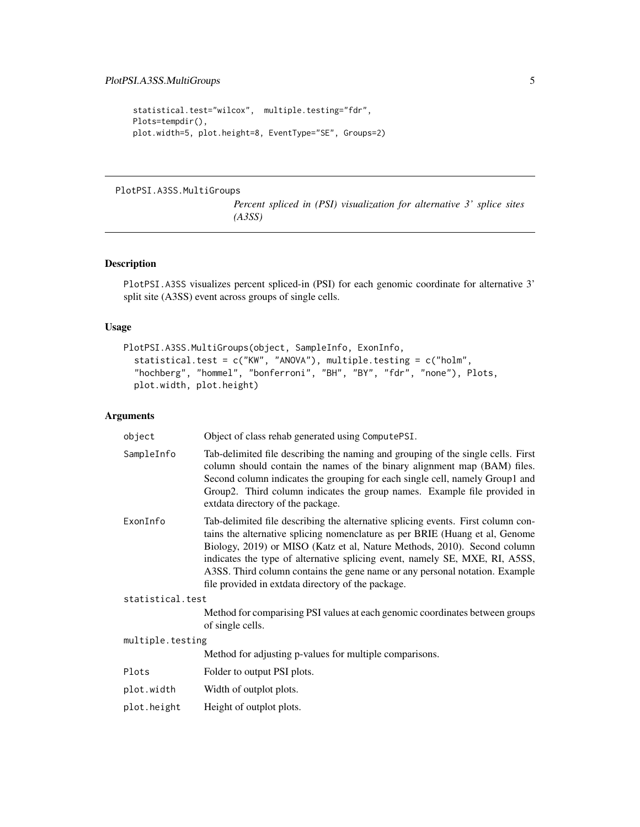```
statistical.test="wilcox", multiple.testing="fdr",
Plots=tempdir(),
plot.width=5, plot.height=8, EventType="SE", Groups=2)
```
### PlotPSI.A3SS.MultiGroups

*Percent spliced in (PSI) visualization for alternative 3' splice sites (A3SS)*

#### Description

PlotPSI.A3SS visualizes percent spliced-in (PSI) for each genomic coordinate for alternative 3' split site (A3SS) event across groups of single cells.

#### Usage

```
PlotPSI.A3SS.MultiGroups(object, SampleInfo, ExonInfo,
  statistical.test = c("KW", "ANOVA"), multiple.testing = c("holm",
  "hochberg", "hommel", "bonferroni", "BH", "BY", "fdr", "none"), Plots,
 plot.width, plot.height)
```

| object           | Object of class rehab generated using ComputePSI.                                                                                                                                                                                                                                                                                                                                                                                                                |
|------------------|------------------------------------------------------------------------------------------------------------------------------------------------------------------------------------------------------------------------------------------------------------------------------------------------------------------------------------------------------------------------------------------------------------------------------------------------------------------|
| SampleInfo       | Tab-delimited file describing the naming and grouping of the single cells. First<br>column should contain the names of the binary alignment map (BAM) files.<br>Second column indicates the grouping for each single cell, namely Group1 and<br>Group2. Third column indicates the group names. Example file provided in<br>extdata directory of the package.                                                                                                    |
| ExonInfo         | Tab-delimited file describing the alternative splicing events. First column con-<br>tains the alternative splicing nomenclature as per BRIE (Huang et al, Genome<br>Biology, 2019) or MISO (Katz et al, Nature Methods, 2010). Second column<br>indicates the type of alternative splicing event, namely SE, MXE, RI, A5SS,<br>A3SS. Third column contains the gene name or any personal notation. Example<br>file provided in extdata directory of the package. |
| statistical.test |                                                                                                                                                                                                                                                                                                                                                                                                                                                                  |
|                  | Method for comparising PSI values at each genomic coordinates between groups<br>of single cells.                                                                                                                                                                                                                                                                                                                                                                 |
| multiple.testing |                                                                                                                                                                                                                                                                                                                                                                                                                                                                  |
|                  | Method for adjusting p-values for multiple comparisons.                                                                                                                                                                                                                                                                                                                                                                                                          |
| Plots            | Folder to output PSI plots.                                                                                                                                                                                                                                                                                                                                                                                                                                      |
| plot.width       | Width of outplot plots.                                                                                                                                                                                                                                                                                                                                                                                                                                          |
| plot.height      | Height of outplot plots.                                                                                                                                                                                                                                                                                                                                                                                                                                         |
|                  |                                                                                                                                                                                                                                                                                                                                                                                                                                                                  |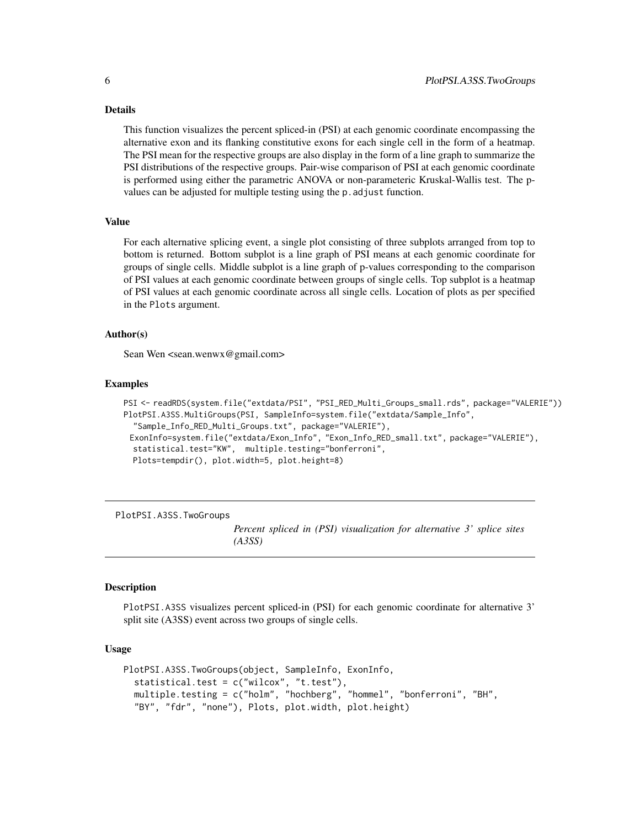This function visualizes the percent spliced-in (PSI) at each genomic coordinate encompassing the alternative exon and its flanking constitutive exons for each single cell in the form of a heatmap. The PSI mean for the respective groups are also display in the form of a line graph to summarize the PSI distributions of the respective groups. Pair-wise comparison of PSI at each genomic coordinate is performed using either the parametric ANOVA or non-parameteric Kruskal-Wallis test. The pvalues can be adjusted for multiple testing using the p.adjust function.

#### Value

For each alternative splicing event, a single plot consisting of three subplots arranged from top to bottom is returned. Bottom subplot is a line graph of PSI means at each genomic coordinate for groups of single cells. Middle subplot is a line graph of p-values corresponding to the comparison of PSI values at each genomic coordinate between groups of single cells. Top subplot is a heatmap of PSI values at each genomic coordinate across all single cells. Location of plots as per specified in the Plots argument.

#### Author(s)

Sean Wen <sean.wenwx@gmail.com>

#### Examples

```
PSI <- readRDS(system.file("extdata/PSI", "PSI_RED_Multi_Groups_small.rds", package="VALERIE"))
PlotPSI.A3SS.MultiGroups(PSI, SampleInfo=system.file("extdata/Sample_Info",
  "Sample_Info_RED_Multi_Groups.txt", package="VALERIE"),
 ExonInfo=system.file("extdata/Exon_Info", "Exon_Info_RED_small.txt", package="VALERIE"),
 statistical.test="KW", multiple.testing="bonferroni",
 Plots=tempdir(), plot.width=5, plot.height=8)
```
PlotPSI.A3SS.TwoGroups

*Percent spliced in (PSI) visualization for alternative 3' splice sites (A3SS)*

#### **Description**

PlotPSI.A3SS visualizes percent spliced-in (PSI) for each genomic coordinate for alternative 3' split site (A3SS) event across two groups of single cells.

```
PlotPSI.A3SS.TwoGroups(object, SampleInfo, ExonInfo,
  statistical.test = c("wilcox", "t.test"),
  multiple.testing = c("holm", "hochberg", "hommel", "bonferroni", "BH",
  "BY", "fdr", "none"), Plots, plot.width, plot.height)
```
<span id="page-5-0"></span>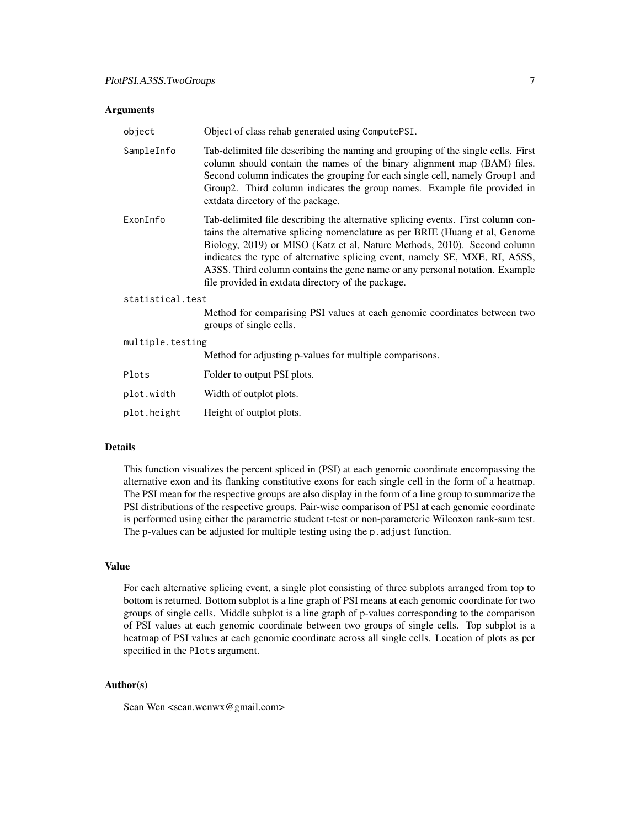| object           | Object of class rehab generated using ComputePSI.                                                                                                                                                                                                                                                                                                                                                                                                                |  |
|------------------|------------------------------------------------------------------------------------------------------------------------------------------------------------------------------------------------------------------------------------------------------------------------------------------------------------------------------------------------------------------------------------------------------------------------------------------------------------------|--|
| SampleInfo       | Tab-delimited file describing the naming and grouping of the single cells. First<br>column should contain the names of the binary alignment map (BAM) files.<br>Second column indicates the grouping for each single cell, namely Group1 and<br>Group2. Third column indicates the group names. Example file provided in<br>extdata directory of the package.                                                                                                    |  |
| ExonInfo         | Tab-delimited file describing the alternative splicing events. First column con-<br>tains the alternative splicing nomenclature as per BRIE (Huang et al, Genome<br>Biology, 2019) or MISO (Katz et al, Nature Methods, 2010). Second column<br>indicates the type of alternative splicing event, namely SE, MXE, RI, A5SS,<br>A3SS. Third column contains the gene name or any personal notation. Example<br>file provided in extdata directory of the package. |  |
| statistical.test |                                                                                                                                                                                                                                                                                                                                                                                                                                                                  |  |
|                  | Method for comparising PSI values at each genomic coordinates between two<br>groups of single cells.                                                                                                                                                                                                                                                                                                                                                             |  |
| multiple.testing |                                                                                                                                                                                                                                                                                                                                                                                                                                                                  |  |
|                  | Method for adjusting p-values for multiple comparisons.                                                                                                                                                                                                                                                                                                                                                                                                          |  |
| Plots            | Folder to output PSI plots.                                                                                                                                                                                                                                                                                                                                                                                                                                      |  |

| plot.width  | Width of outplot plots.  |
|-------------|--------------------------|
| plot.height | Height of outplot plots. |

#### Details

This function visualizes the percent spliced in (PSI) at each genomic coordinate encompassing the alternative exon and its flanking constitutive exons for each single cell in the form of a heatmap. The PSI mean for the respective groups are also display in the form of a line group to summarize the PSI distributions of the respective groups. Pair-wise comparison of PSI at each genomic coordinate is performed using either the parametric student t-test or non-parameteric Wilcoxon rank-sum test. The p-values can be adjusted for multiple testing using the p. adjust function.

#### Value

For each alternative splicing event, a single plot consisting of three subplots arranged from top to bottom is returned. Bottom subplot is a line graph of PSI means at each genomic coordinate for two groups of single cells. Middle subplot is a line graph of p-values corresponding to the comparison of PSI values at each genomic coordinate between two groups of single cells. Top subplot is a heatmap of PSI values at each genomic coordinate across all single cells. Location of plots as per specified in the Plots argument.

### Author(s)

Sean Wen <sean.wenwx@gmail.com>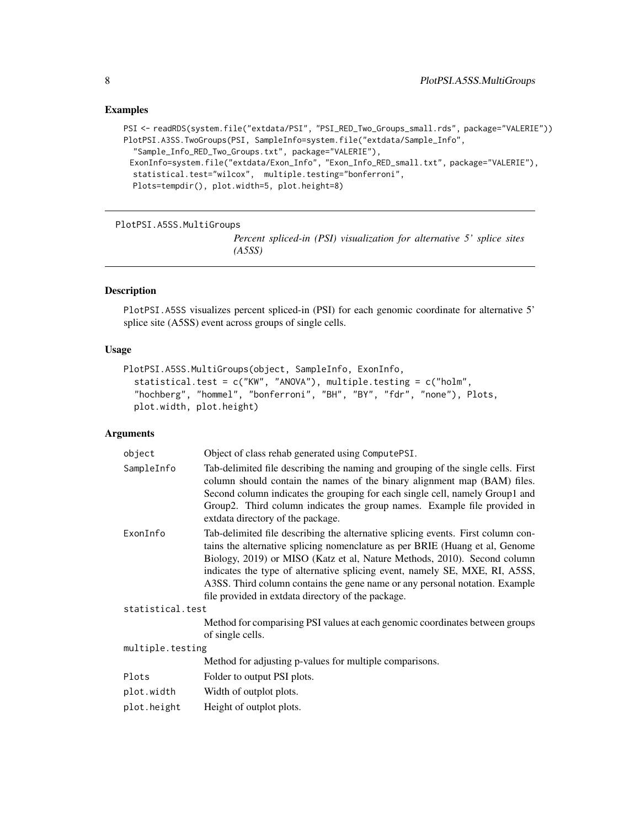```
PSI <- readRDS(system.file("extdata/PSI", "PSI_RED_Two_Groups_small.rds", package="VALERIE"))
PlotPSI.A3SS.TwoGroups(PSI, SampleInfo=system.file("extdata/Sample_Info",
  "Sample_Info_RED_Two_Groups.txt", package="VALERIE"),
 ExonInfo=system.file("extdata/Exon_Info", "Exon_Info_RED_small.txt", package="VALERIE"),
  statistical.test="wilcox", multiple.testing="bonferroni",
  Plots=tempdir(), plot.width=5, plot.height=8)
```
PlotPSI.A5SS.MultiGroups

*Percent spliced-in (PSI) visualization for alternative 5' splice sites (A5SS)*

#### Description

PlotPSI.A5SS visualizes percent spliced-in (PSI) for each genomic coordinate for alternative 5' splice site (A5SS) event across groups of single cells.

#### Usage

```
PlotPSI.A5SS.MultiGroups(object, SampleInfo, ExonInfo,
  statistical.test = c("KW", "ANOVA"), multiple.testing = c("holm",
  "hochberg", "hommel", "bonferroni", "BH", "BY", "fdr", "none"), Plots,
 plot.width, plot.height)
```

| object           | Object of class rehab generated using ComputePSI.                                                                                                                                                                                                                                                                                                                                                                                                                |
|------------------|------------------------------------------------------------------------------------------------------------------------------------------------------------------------------------------------------------------------------------------------------------------------------------------------------------------------------------------------------------------------------------------------------------------------------------------------------------------|
| SampleInfo       | Tab-delimited file describing the naming and grouping of the single cells. First<br>column should contain the names of the binary alignment map (BAM) files.<br>Second column indicates the grouping for each single cell, namely Group1 and<br>Group2. Third column indicates the group names. Example file provided in<br>extdata directory of the package.                                                                                                    |
| ExonInfo         | Tab-delimited file describing the alternative splicing events. First column con-<br>tains the alternative splicing nomenclature as per BRIE (Huang et al, Genome<br>Biology, 2019) or MISO (Katz et al, Nature Methods, 2010). Second column<br>indicates the type of alternative splicing event, namely SE, MXE, RI, A5SS,<br>A3SS. Third column contains the gene name or any personal notation. Example<br>file provided in extdata directory of the package. |
| statistical.test |                                                                                                                                                                                                                                                                                                                                                                                                                                                                  |
|                  | Method for comparising PSI values at each genomic coordinates between groups<br>of single cells.                                                                                                                                                                                                                                                                                                                                                                 |
| multiple.testing |                                                                                                                                                                                                                                                                                                                                                                                                                                                                  |
|                  | Method for adjusting p-values for multiple comparisons.                                                                                                                                                                                                                                                                                                                                                                                                          |
| Plots            | Folder to output PSI plots.                                                                                                                                                                                                                                                                                                                                                                                                                                      |
| plot.width       | Width of outplot plots.                                                                                                                                                                                                                                                                                                                                                                                                                                          |
| plot.height      | Height of outplot plots.                                                                                                                                                                                                                                                                                                                                                                                                                                         |

<span id="page-7-0"></span>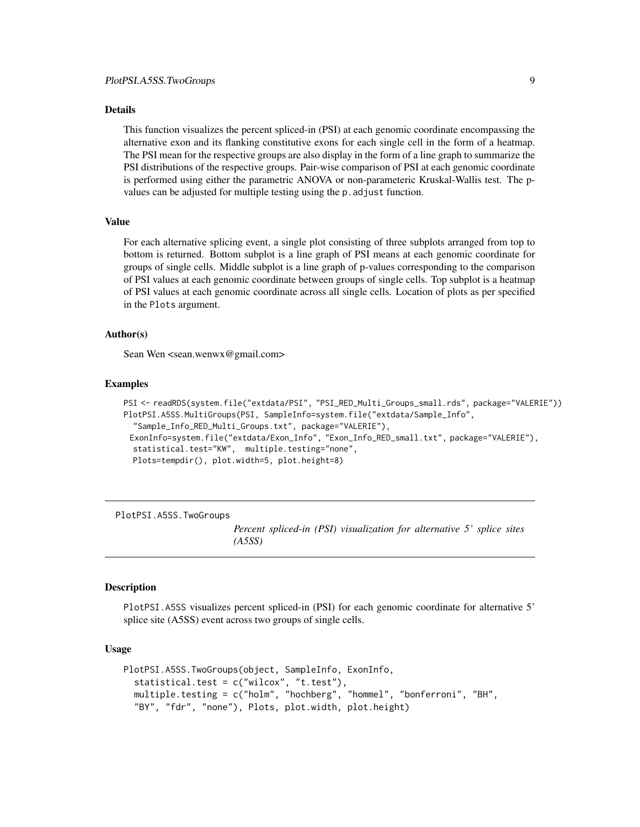<span id="page-8-0"></span>This function visualizes the percent spliced-in (PSI) at each genomic coordinate encompassing the alternative exon and its flanking constitutive exons for each single cell in the form of a heatmap. The PSI mean for the respective groups are also display in the form of a line graph to summarize the PSI distributions of the respective groups. Pair-wise comparison of PSI at each genomic coordinate is performed using either the parametric ANOVA or non-parameteric Kruskal-Wallis test. The pvalues can be adjusted for multiple testing using the p.adjust function.

#### Value

For each alternative splicing event, a single plot consisting of three subplots arranged from top to bottom is returned. Bottom subplot is a line graph of PSI means at each genomic coordinate for groups of single cells. Middle subplot is a line graph of p-values corresponding to the comparison of PSI values at each genomic coordinate between groups of single cells. Top subplot is a heatmap of PSI values at each genomic coordinate across all single cells. Location of plots as per specified in the Plots argument.

#### Author(s)

Sean Wen <sean.wenwx@gmail.com>

#### Examples

```
PSI <- readRDS(system.file("extdata/PSI", "PSI_RED_Multi_Groups_small.rds", package="VALERIE"))
PlotPSI.A5SS.MultiGroups(PSI, SampleInfo=system.file("extdata/Sample_Info",
  "Sample_Info_RED_Multi_Groups.txt", package="VALERIE"),
 ExonInfo=system.file("extdata/Exon_Info", "Exon_Info_RED_small.txt", package="VALERIE"),
 statistical.test="KW", multiple.testing="none",
 Plots=tempdir(), plot.width=5, plot.height=8)
```
PlotPSI.A5SS.TwoGroups

*Percent spliced-in (PSI) visualization for alternative 5' splice sites (A5SS)*

#### **Description**

PlotPSI.A5SS visualizes percent spliced-in (PSI) for each genomic coordinate for alternative 5' splice site (A5SS) event across two groups of single cells.

```
PlotPSI.A5SS.TwoGroups(object, SampleInfo, ExonInfo,
  statistical.test = c("wilcox", "t.test"),
  multiple.testing = c("holm", "hochberg", "hommel", "bonferroni", "BH",
  "BY", "fdr", "none"), Plots, plot.width, plot.height)
```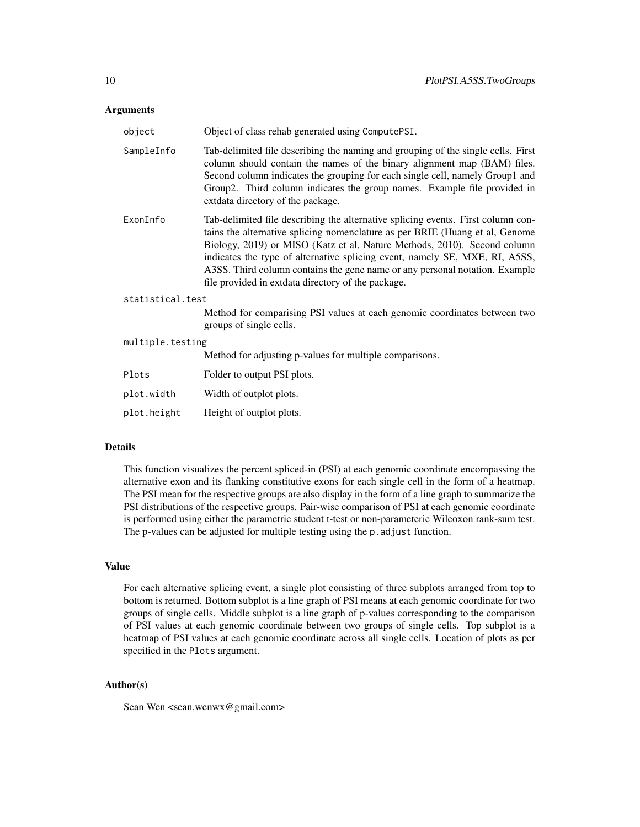| object           | Object of class rehab generated using ComputePSI.                                                                                                                                                                                                                                                                                                                                                                                                                |
|------------------|------------------------------------------------------------------------------------------------------------------------------------------------------------------------------------------------------------------------------------------------------------------------------------------------------------------------------------------------------------------------------------------------------------------------------------------------------------------|
| SampleInfo       | Tab-delimited file describing the naming and grouping of the single cells. First<br>column should contain the names of the binary alignment map (BAM) files.<br>Second column indicates the grouping for each single cell, namely Group1 and<br>Group2. Third column indicates the group names. Example file provided in<br>extdata directory of the package.                                                                                                    |
| ExonInfo         | Tab-delimited file describing the alternative splicing events. First column con-<br>tains the alternative splicing nomenclature as per BRIE (Huang et al, Genome<br>Biology, 2019) or MISO (Katz et al, Nature Methods, 2010). Second column<br>indicates the type of alternative splicing event, namely SE, MXE, RI, A5SS,<br>A3SS. Third column contains the gene name or any personal notation. Example<br>file provided in extdata directory of the package. |
| statistical.test |                                                                                                                                                                                                                                                                                                                                                                                                                                                                  |
|                  | Method for comparising PSI values at each genomic coordinates between two<br>groups of single cells.                                                                                                                                                                                                                                                                                                                                                             |
| multiple.testing |                                                                                                                                                                                                                                                                                                                                                                                                                                                                  |
|                  | Method for adjusting p-values for multiple comparisons.                                                                                                                                                                                                                                                                                                                                                                                                          |
| Plots            | Folder to output PSI plots.                                                                                                                                                                                                                                                                                                                                                                                                                                      |
| plot.width       | Width of outplot plots.                                                                                                                                                                                                                                                                                                                                                                                                                                          |
| plot.height      | Height of outplot plots.                                                                                                                                                                                                                                                                                                                                                                                                                                         |

#### Details

This function visualizes the percent spliced-in (PSI) at each genomic coordinate encompassing the alternative exon and its flanking constitutive exons for each single cell in the form of a heatmap. The PSI mean for the respective groups are also display in the form of a line graph to summarize the PSI distributions of the respective groups. Pair-wise comparison of PSI at each genomic coordinate is performed using either the parametric student t-test or non-parameteric Wilcoxon rank-sum test. The p-values can be adjusted for multiple testing using the p. adjust function.

#### Value

For each alternative splicing event, a single plot consisting of three subplots arranged from top to bottom is returned. Bottom subplot is a line graph of PSI means at each genomic coordinate for two groups of single cells. Middle subplot is a line graph of p-values corresponding to the comparison of PSI values at each genomic coordinate between two groups of single cells. Top subplot is a heatmap of PSI values at each genomic coordinate across all single cells. Location of plots as per specified in the Plots argument.

### Author(s)

Sean Wen <sean.wenwx@gmail.com>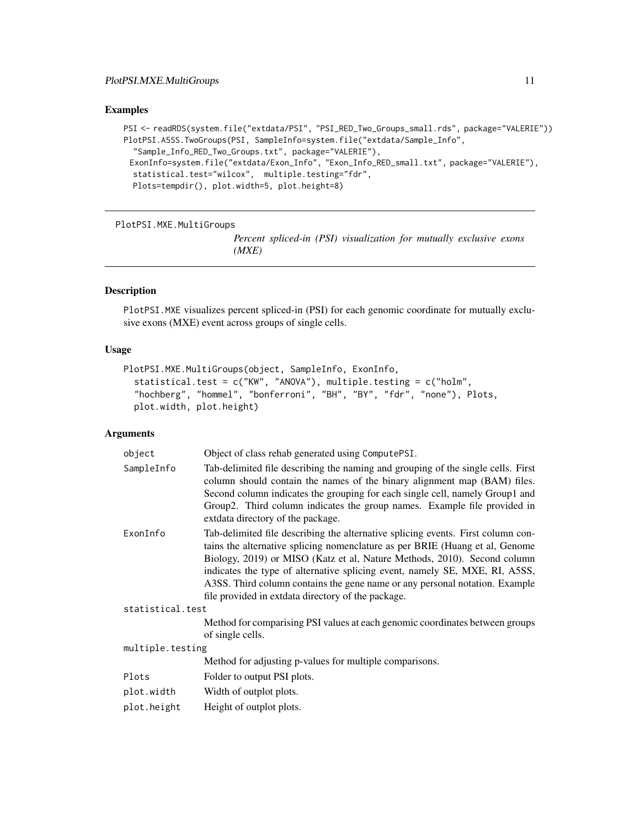```
PSI <- readRDS(system.file("extdata/PSI", "PSI_RED_Two_Groups_small.rds", package="VALERIE"))
PlotPSI.A5SS.TwoGroups(PSI, SampleInfo=system.file("extdata/Sample_Info",
  "Sample_Info_RED_Two_Groups.txt", package="VALERIE"),
 ExonInfo=system.file("extdata/Exon_Info", "Exon_Info_RED_small.txt", package="VALERIE"),
  statistical.test="wilcox", multiple.testing="fdr",
  Plots=tempdir(), plot.width=5, plot.height=8)
```
PlotPSI.MXE.MultiGroups

*Percent spliced-in (PSI) visualization for mutually exclusive exons (MXE)*

#### Description

PlotPSI.MXE visualizes percent spliced-in (PSI) for each genomic coordinate for mutually exclusive exons (MXE) event across groups of single cells.

#### Usage

```
PlotPSI.MXE.MultiGroups(object, SampleInfo, ExonInfo,
  statistical.test = c("KW", "ANOVA"), multiple.testing = c("holm",
  "hochberg", "hommel", "bonferroni", "BH", "BY", "fdr", "none"), Plots,
 plot.width, plot.height)
```

| object           | Object of class rehab generated using ComputePSI.                                                                                                                                                                                                                                                                                                                                                                                                                |
|------------------|------------------------------------------------------------------------------------------------------------------------------------------------------------------------------------------------------------------------------------------------------------------------------------------------------------------------------------------------------------------------------------------------------------------------------------------------------------------|
| SampleInfo       | Tab-delimited file describing the naming and grouping of the single cells. First<br>column should contain the names of the binary alignment map (BAM) files.<br>Second column indicates the grouping for each single cell, namely Group1 and<br>Group2. Third column indicates the group names. Example file provided in<br>extdata directory of the package.                                                                                                    |
| ExonInfo         | Tab-delimited file describing the alternative splicing events. First column con-<br>tains the alternative splicing nomenclature as per BRIE (Huang et al, Genome<br>Biology, 2019) or MISO (Katz et al, Nature Methods, 2010). Second column<br>indicates the type of alternative splicing event, namely SE, MXE, RI, A5SS,<br>A3SS. Third column contains the gene name or any personal notation. Example<br>file provided in extdata directory of the package. |
| statistical.test |                                                                                                                                                                                                                                                                                                                                                                                                                                                                  |
|                  | Method for comparising PSI values at each genomic coordinates between groups<br>of single cells.                                                                                                                                                                                                                                                                                                                                                                 |
| multiple.testing |                                                                                                                                                                                                                                                                                                                                                                                                                                                                  |
|                  | Method for adjusting p-values for multiple comparisons.                                                                                                                                                                                                                                                                                                                                                                                                          |
| Plots            | Folder to output PSI plots.                                                                                                                                                                                                                                                                                                                                                                                                                                      |
| plot.width       | Width of outplot plots.                                                                                                                                                                                                                                                                                                                                                                                                                                          |
| plot.height      | Height of outplot plots.                                                                                                                                                                                                                                                                                                                                                                                                                                         |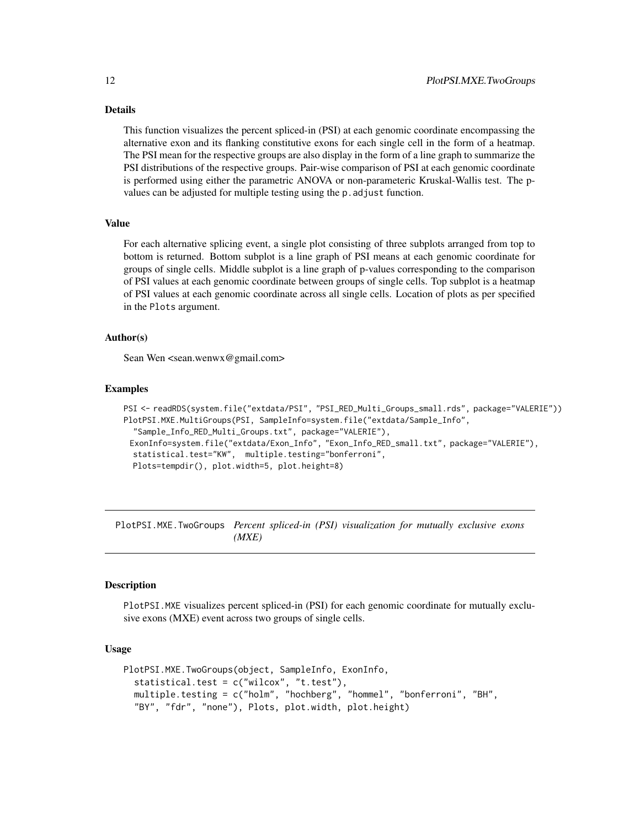<span id="page-11-0"></span>This function visualizes the percent spliced-in (PSI) at each genomic coordinate encompassing the alternative exon and its flanking constitutive exons for each single cell in the form of a heatmap. The PSI mean for the respective groups are also display in the form of a line graph to summarize the PSI distributions of the respective groups. Pair-wise comparison of PSI at each genomic coordinate is performed using either the parametric ANOVA or non-parameteric Kruskal-Wallis test. The pvalues can be adjusted for multiple testing using the p. adjust function.

#### Value

For each alternative splicing event, a single plot consisting of three subplots arranged from top to bottom is returned. Bottom subplot is a line graph of PSI means at each genomic coordinate for groups of single cells. Middle subplot is a line graph of p-values corresponding to the comparison of PSI values at each genomic coordinate between groups of single cells. Top subplot is a heatmap of PSI values at each genomic coordinate across all single cells. Location of plots as per specified in the Plots argument.

#### Author(s)

Sean Wen <sean.wenwx@gmail.com>

#### Examples

```
PSI <- readRDS(system.file("extdata/PSI", "PSI_RED_Multi_Groups_small.rds", package="VALERIE"))
PlotPSI.MXE.MultiGroups(PSI, SampleInfo=system.file("extdata/Sample_Info",
  "Sample_Info_RED_Multi_Groups.txt", package="VALERIE"),
 ExonInfo=system.file("extdata/Exon_Info", "Exon_Info_RED_small.txt", package="VALERIE"),
 statistical.test="KW", multiple.testing="bonferroni",
 Plots=tempdir(), plot.width=5, plot.height=8)
```
PlotPSI.MXE.TwoGroups *Percent spliced-in (PSI) visualization for mutually exclusive exons (MXE)*

#### **Description**

PlotPSI.MXE visualizes percent spliced-in (PSI) for each genomic coordinate for mutually exclusive exons (MXE) event across two groups of single cells.

```
PlotPSI.MXE.TwoGroups(object, SampleInfo, ExonInfo,
  statistical.test = c("wilcox", "t.test"),
  multiple.testing = c("holm", "hochberg", "hommel", "bonferroni", "BH",
  "BY", "fdr", "none"), Plots, plot.width, plot.height)
```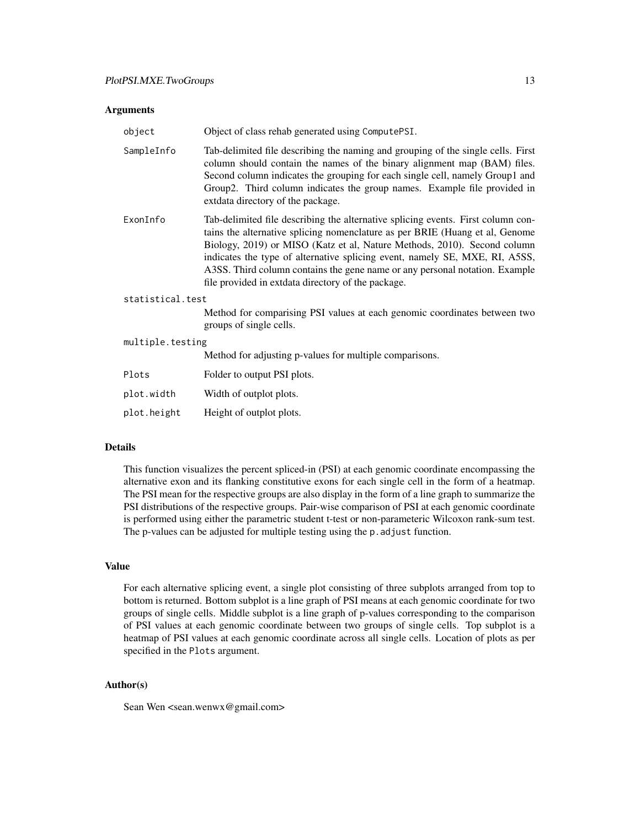| object           | Object of class rehab generated using ComputePSI.                                                                                                                                                                                                                                                                                                                                                                                                                |
|------------------|------------------------------------------------------------------------------------------------------------------------------------------------------------------------------------------------------------------------------------------------------------------------------------------------------------------------------------------------------------------------------------------------------------------------------------------------------------------|
| SampleInfo       | Tab-delimited file describing the naming and grouping of the single cells. First<br>column should contain the names of the binary alignment map (BAM) files.<br>Second column indicates the grouping for each single cell, namely Group1 and<br>Group2. Third column indicates the group names. Example file provided in<br>extdata directory of the package.                                                                                                    |
| ExonInfo         | Tab-delimited file describing the alternative splicing events. First column con-<br>tains the alternative splicing nomenclature as per BRIE (Huang et al, Genome<br>Biology, 2019) or MISO (Katz et al, Nature Methods, 2010). Second column<br>indicates the type of alternative splicing event, namely SE, MXE, RI, A5SS,<br>A3SS. Third column contains the gene name or any personal notation. Example<br>file provided in extdata directory of the package. |
| statistical.test |                                                                                                                                                                                                                                                                                                                                                                                                                                                                  |
|                  | Method for comparising PSI values at each genomic coordinates between two<br>groups of single cells.                                                                                                                                                                                                                                                                                                                                                             |
| multiple.testing |                                                                                                                                                                                                                                                                                                                                                                                                                                                                  |
|                  | Method for adjusting p-values for multiple comparisons.                                                                                                                                                                                                                                                                                                                                                                                                          |
| Plots            | Folder to output PSI plots.                                                                                                                                                                                                                                                                                                                                                                                                                                      |

| plot.width  | Width of outplot plots.  |
|-------------|--------------------------|
| plot.height | Height of outplot plots. |

#### Details

This function visualizes the percent spliced-in (PSI) at each genomic coordinate encompassing the alternative exon and its flanking constitutive exons for each single cell in the form of a heatmap. The PSI mean for the respective groups are also display in the form of a line graph to summarize the PSI distributions of the respective groups. Pair-wise comparison of PSI at each genomic coordinate is performed using either the parametric student t-test or non-parameteric Wilcoxon rank-sum test. The p-values can be adjusted for multiple testing using the p. adjust function.

#### Value

For each alternative splicing event, a single plot consisting of three subplots arranged from top to bottom is returned. Bottom subplot is a line graph of PSI means at each genomic coordinate for two groups of single cells. Middle subplot is a line graph of p-values corresponding to the comparison of PSI values at each genomic coordinate between two groups of single cells. Top subplot is a heatmap of PSI values at each genomic coordinate across all single cells. Location of plots as per specified in the Plots argument.

### Author(s)

Sean Wen <sean.wenwx@gmail.com>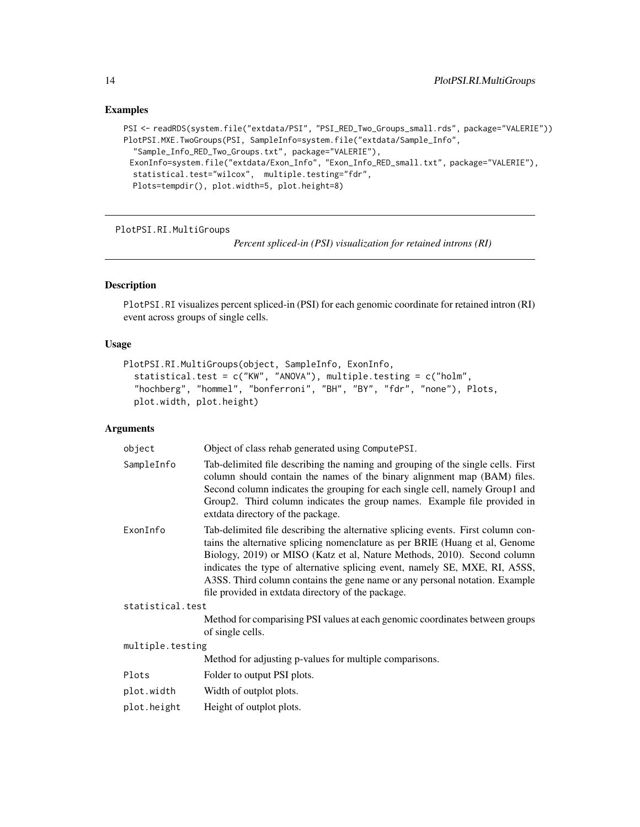```
PSI <- readRDS(system.file("extdata/PSI", "PSI_RED_Two_Groups_small.rds", package="VALERIE"))
PlotPSI.MXE.TwoGroups(PSI, SampleInfo=system.file("extdata/Sample_Info",
  "Sample_Info_RED_Two_Groups.txt", package="VALERIE"),
 ExonInfo=system.file("extdata/Exon_Info", "Exon_Info_RED_small.txt", package="VALERIE"),
  statistical.test="wilcox", multiple.testing="fdr",
  Plots=tempdir(), plot.width=5, plot.height=8)
```
PlotPSI.RI.MultiGroups

*Percent spliced-in (PSI) visualization for retained introns (RI)*

#### Description

PlotPSI.RI visualizes percent spliced-in (PSI) for each genomic coordinate for retained intron (RI) event across groups of single cells.

#### Usage

```
PlotPSI.RI.MultiGroups(object, SampleInfo, ExonInfo,
  statistical.test = c("KW", "ANOVA"), multiple.testing = c("holm",
  "hochberg", "hommel", "bonferroni", "BH", "BY", "fdr", "none"), Plots,
 plot.width, plot.height)
```

| object           | Object of class rehab generated using ComputePSI.                                                                                                                                                                                                                                                                                                                                                                                                                |
|------------------|------------------------------------------------------------------------------------------------------------------------------------------------------------------------------------------------------------------------------------------------------------------------------------------------------------------------------------------------------------------------------------------------------------------------------------------------------------------|
| SampleInfo       | Tab-delimited file describing the naming and grouping of the single cells. First<br>column should contain the names of the binary alignment map (BAM) files.<br>Second column indicates the grouping for each single cell, namely Group1 and<br>Group2. Third column indicates the group names. Example file provided in<br>extdata directory of the package.                                                                                                    |
| ExonInfo         | Tab-delimited file describing the alternative splicing events. First column con-<br>tains the alternative splicing nomenclature as per BRIE (Huang et al, Genome<br>Biology, 2019) or MISO (Katz et al, Nature Methods, 2010). Second column<br>indicates the type of alternative splicing event, namely SE, MXE, RI, A5SS,<br>A3SS. Third column contains the gene name or any personal notation. Example<br>file provided in extdata directory of the package. |
| statistical.test |                                                                                                                                                                                                                                                                                                                                                                                                                                                                  |
|                  | Method for comparising PSI values at each genomic coordinates between groups<br>of single cells.                                                                                                                                                                                                                                                                                                                                                                 |
| multiple.testing |                                                                                                                                                                                                                                                                                                                                                                                                                                                                  |
|                  | Method for adjusting p-values for multiple comparisons.                                                                                                                                                                                                                                                                                                                                                                                                          |
| Plots            | Folder to output PSI plots.                                                                                                                                                                                                                                                                                                                                                                                                                                      |
| plot.width       | Width of outplot plots.                                                                                                                                                                                                                                                                                                                                                                                                                                          |
| plot.height      | Height of outplot plots.                                                                                                                                                                                                                                                                                                                                                                                                                                         |
|                  |                                                                                                                                                                                                                                                                                                                                                                                                                                                                  |

<span id="page-13-0"></span>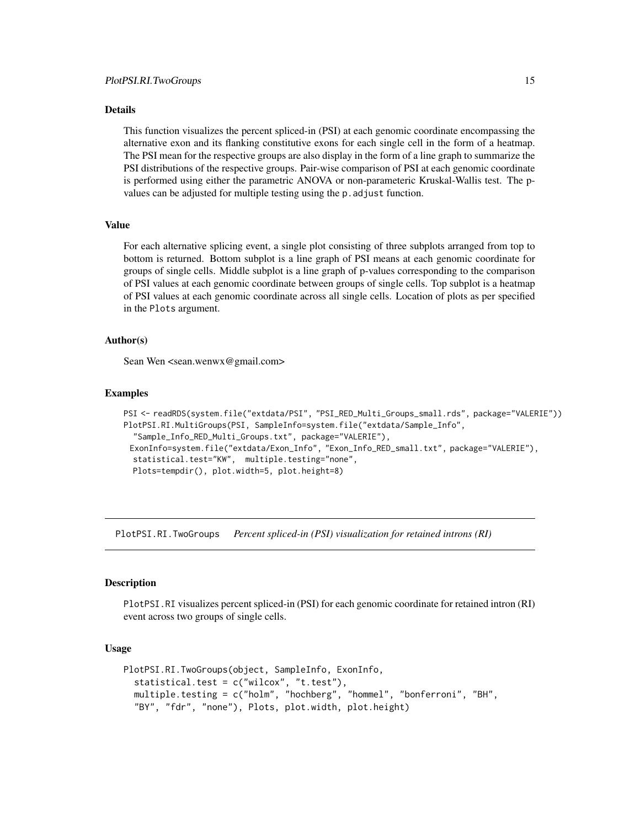<span id="page-14-0"></span>This function visualizes the percent spliced-in (PSI) at each genomic coordinate encompassing the alternative exon and its flanking constitutive exons for each single cell in the form of a heatmap. The PSI mean for the respective groups are also display in the form of a line graph to summarize the PSI distributions of the respective groups. Pair-wise comparison of PSI at each genomic coordinate is performed using either the parametric ANOVA or non-parameteric Kruskal-Wallis test. The pvalues can be adjusted for multiple testing using the p.adjust function.

#### Value

For each alternative splicing event, a single plot consisting of three subplots arranged from top to bottom is returned. Bottom subplot is a line graph of PSI means at each genomic coordinate for groups of single cells. Middle subplot is a line graph of p-values corresponding to the comparison of PSI values at each genomic coordinate between groups of single cells. Top subplot is a heatmap of PSI values at each genomic coordinate across all single cells. Location of plots as per specified in the Plots argument.

#### Author(s)

Sean Wen <sean.wenwx@gmail.com>

#### Examples

```
PSI <- readRDS(system.file("extdata/PSI", "PSI_RED_Multi_Groups_small.rds", package="VALERIE"))
PlotPSI.RI.MultiGroups(PSI, SampleInfo=system.file("extdata/Sample_Info",
  "Sample_Info_RED_Multi_Groups.txt", package="VALERIE"),
 ExonInfo=system.file("extdata/Exon_Info", "Exon_Info_RED_small.txt", package="VALERIE"),
 statistical.test="KW", multiple.testing="none",
 Plots=tempdir(), plot.width=5, plot.height=8)
```
PlotPSI.RI.TwoGroups *Percent spliced-in (PSI) visualization for retained introns (RI)*

#### **Description**

PlotPSI.RI visualizes percent spliced-in (PSI) for each genomic coordinate for retained intron (RI) event across two groups of single cells.

```
PlotPSI.RI.TwoGroups(object, SampleInfo, ExonInfo,
  statistical.test = c("wilcox", "t.test"),
  multiple.testing = c("holm", "hochberg", "hommel", "bonferroni", "BH",
  "BY", "fdr", "none"), Plots, plot.width, plot.height)
```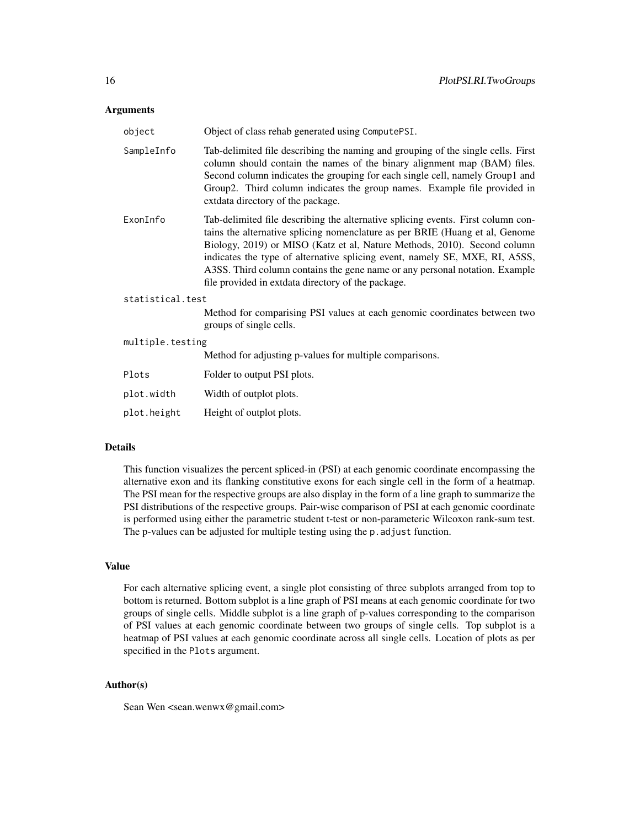| object           | Object of class rehab generated using ComputePSI.                                                                                                                                                                                                                                                                                                                                                                                                                |  |
|------------------|------------------------------------------------------------------------------------------------------------------------------------------------------------------------------------------------------------------------------------------------------------------------------------------------------------------------------------------------------------------------------------------------------------------------------------------------------------------|--|
| SampleInfo       | Tab-delimited file describing the naming and grouping of the single cells. First<br>column should contain the names of the binary alignment map (BAM) files.<br>Second column indicates the grouping for each single cell, namely Group1 and<br>Group2. Third column indicates the group names. Example file provided in<br>extdata directory of the package.                                                                                                    |  |
| ExonInfo         | Tab-delimited file describing the alternative splicing events. First column con-<br>tains the alternative splicing nomenclature as per BRIE (Huang et al, Genome<br>Biology, 2019) or MISO (Katz et al, Nature Methods, 2010). Second column<br>indicates the type of alternative splicing event, namely SE, MXE, RI, A5SS,<br>A3SS. Third column contains the gene name or any personal notation. Example<br>file provided in extdata directory of the package. |  |
| statistical.test |                                                                                                                                                                                                                                                                                                                                                                                                                                                                  |  |
|                  | Method for comparising PSI values at each genomic coordinates between two<br>groups of single cells.                                                                                                                                                                                                                                                                                                                                                             |  |
| multiple.testing |                                                                                                                                                                                                                                                                                                                                                                                                                                                                  |  |
|                  | Method for adjusting p-values for multiple comparisons.                                                                                                                                                                                                                                                                                                                                                                                                          |  |
| Plots            | Folder to output PSI plots.                                                                                                                                                                                                                                                                                                                                                                                                                                      |  |
| plot.width       | Width of outplot plots.                                                                                                                                                                                                                                                                                                                                                                                                                                          |  |
| plot.height      | Height of outplot plots.                                                                                                                                                                                                                                                                                                                                                                                                                                         |  |

#### Details

This function visualizes the percent spliced-in (PSI) at each genomic coordinate encompassing the alternative exon and its flanking constitutive exons for each single cell in the form of a heatmap. The PSI mean for the respective groups are also display in the form of a line graph to summarize the PSI distributions of the respective groups. Pair-wise comparison of PSI at each genomic coordinate is performed using either the parametric student t-test or non-parameteric Wilcoxon rank-sum test. The p-values can be adjusted for multiple testing using the p. adjust function.

#### Value

For each alternative splicing event, a single plot consisting of three subplots arranged from top to bottom is returned. Bottom subplot is a line graph of PSI means at each genomic coordinate for two groups of single cells. Middle subplot is a line graph of p-values corresponding to the comparison of PSI values at each genomic coordinate between two groups of single cells. Top subplot is a heatmap of PSI values at each genomic coordinate across all single cells. Location of plots as per specified in the Plots argument.

### Author(s)

Sean Wen <sean.wenwx@gmail.com>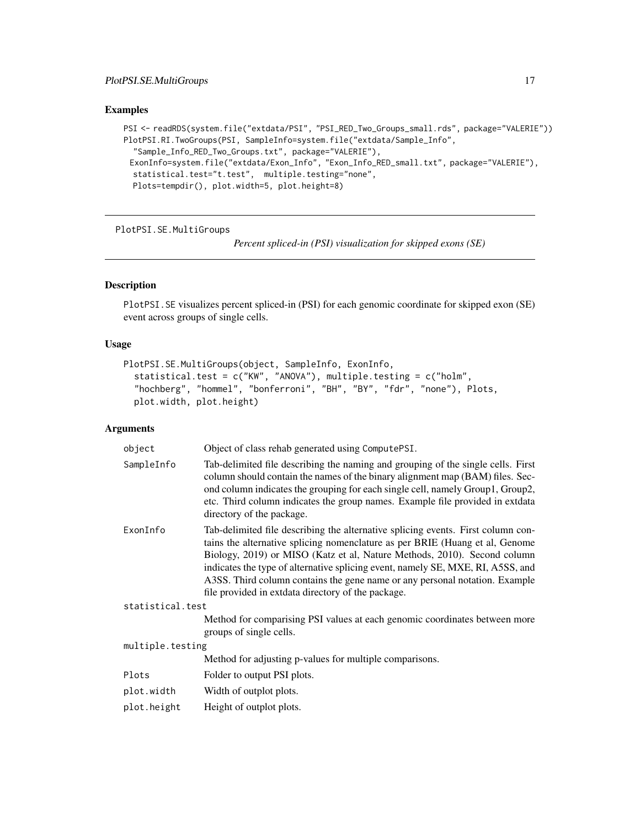```
PSI <- readRDS(system.file("extdata/PSI", "PSI_RED_Two_Groups_small.rds", package="VALERIE"))
PlotPSI.RI.TwoGroups(PSI, SampleInfo=system.file("extdata/Sample_Info",
  "Sample_Info_RED_Two_Groups.txt", package="VALERIE"),
 ExonInfo=system.file("extdata/Exon_Info", "Exon_Info_RED_small.txt", package="VALERIE"),
  statistical.test="t.test", multiple.testing="none",
  Plots=tempdir(), plot.width=5, plot.height=8)
```
PlotPSI.SE.MultiGroups

*Percent spliced-in (PSI) visualization for skipped exons (SE)*

#### Description

PlotPSI.SE visualizes percent spliced-in (PSI) for each genomic coordinate for skipped exon (SE) event across groups of single cells.

#### Usage

```
PlotPSI.SE.MultiGroups(object, SampleInfo, ExonInfo,
  statistical.test = c("KW", "ANOVA"), multiple.testing = c("holm",
  "hochberg", "hommel", "bonferroni", "BH", "BY", "fdr", "none"), Plots,
 plot.width, plot.height)
```

| object           | Object of class rehab generated using ComputePSI.                                                                                                                                                                                                                                                                                                                                                                                                                    |
|------------------|----------------------------------------------------------------------------------------------------------------------------------------------------------------------------------------------------------------------------------------------------------------------------------------------------------------------------------------------------------------------------------------------------------------------------------------------------------------------|
| SampleInfo       | Tab-delimited file describing the naming and grouping of the single cells. First<br>column should contain the names of the binary alignment map (BAM) files. Sec-<br>ond column indicates the grouping for each single cell, namely Group1, Group2,<br>etc. Third column indicates the group names. Example file provided in extdata<br>directory of the package.                                                                                                    |
| ExonInfo         | Tab-delimited file describing the alternative splicing events. First column con-<br>tains the alternative splicing nomenclature as per BRIE (Huang et al, Genome<br>Biology, 2019) or MISO (Katz et al, Nature Methods, 2010). Second column<br>indicates the type of alternative splicing event, namely SE, MXE, RI, A5SS, and<br>A3SS. Third column contains the gene name or any personal notation. Example<br>file provided in extdata directory of the package. |
| statistical.test |                                                                                                                                                                                                                                                                                                                                                                                                                                                                      |
|                  | Method for comparising PSI values at each genomic coordinates between more<br>groups of single cells.                                                                                                                                                                                                                                                                                                                                                                |
| multiple.testing |                                                                                                                                                                                                                                                                                                                                                                                                                                                                      |
|                  | Method for adjusting p-values for multiple comparisons.                                                                                                                                                                                                                                                                                                                                                                                                              |
| Plots            | Folder to output PSI plots.                                                                                                                                                                                                                                                                                                                                                                                                                                          |
| plot.width       | Width of outplot plots.                                                                                                                                                                                                                                                                                                                                                                                                                                              |
| plot.height      | Height of outplot plots.                                                                                                                                                                                                                                                                                                                                                                                                                                             |
|                  |                                                                                                                                                                                                                                                                                                                                                                                                                                                                      |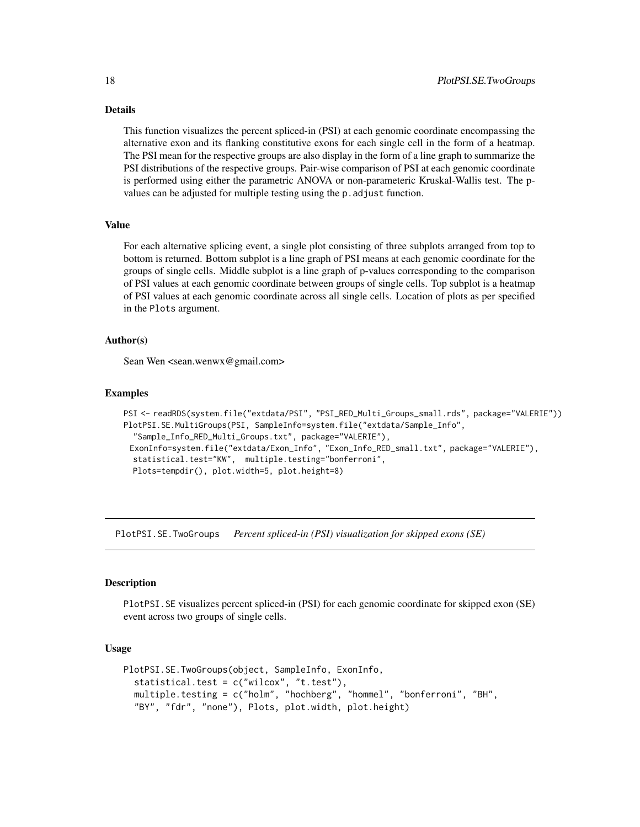<span id="page-17-0"></span>This function visualizes the percent spliced-in (PSI) at each genomic coordinate encompassing the alternative exon and its flanking constitutive exons for each single cell in the form of a heatmap. The PSI mean for the respective groups are also display in the form of a line graph to summarize the PSI distributions of the respective groups. Pair-wise comparison of PSI at each genomic coordinate is performed using either the parametric ANOVA or non-parameteric Kruskal-Wallis test. The pvalues can be adjusted for multiple testing using the p.adjust function.

#### Value

For each alternative splicing event, a single plot consisting of three subplots arranged from top to bottom is returned. Bottom subplot is a line graph of PSI means at each genomic coordinate for the groups of single cells. Middle subplot is a line graph of p-values corresponding to the comparison of PSI values at each genomic coordinate between groups of single cells. Top subplot is a heatmap of PSI values at each genomic coordinate across all single cells. Location of plots as per specified in the Plots argument.

#### Author(s)

Sean Wen <sean.wenwx@gmail.com>

#### Examples

```
PSI <- readRDS(system.file("extdata/PSI", "PSI_RED_Multi_Groups_small.rds", package="VALERIE"))
PlotPSI.SE.MultiGroups(PSI, SampleInfo=system.file("extdata/Sample_Info",
  "Sample_Info_RED_Multi_Groups.txt", package="VALERIE"),
 ExonInfo=system.file("extdata/Exon_Info", "Exon_Info_RED_small.txt", package="VALERIE"),
 statistical.test="KW", multiple.testing="bonferroni",
 Plots=tempdir(), plot.width=5, plot.height=8)
```
PlotPSI.SE.TwoGroups *Percent spliced-in (PSI) visualization for skipped exons (SE)*

#### Description

PlotPSI.SE visualizes percent spliced-in (PSI) for each genomic coordinate for skipped exon (SE) event across two groups of single cells.

```
PlotPSI.SE.TwoGroups(object, SampleInfo, ExonInfo,
  statistical.test = c("wilcox", "t.test"),
  multiple.testing = c("holm", "hochberg", "hommel", "bonferroni", "BH",
  "BY", "fdr", "none"), Plots, plot.width, plot.height)
```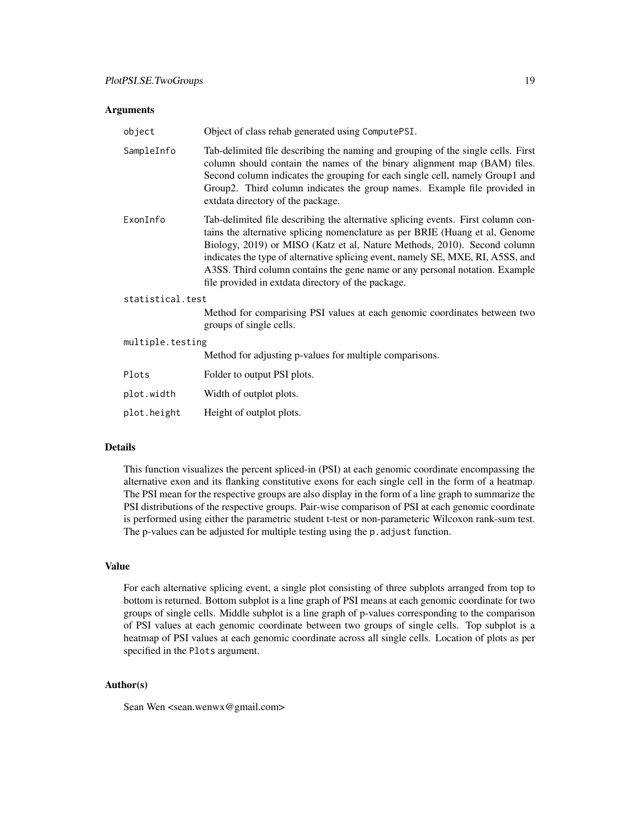| object           | Object of class rehab generated using ComputePSI.                                                                                                                                                                                                                                                                                                                                                                                                                    |
|------------------|----------------------------------------------------------------------------------------------------------------------------------------------------------------------------------------------------------------------------------------------------------------------------------------------------------------------------------------------------------------------------------------------------------------------------------------------------------------------|
| SampleInfo       | Tab-delimited file describing the naming and grouping of the single cells. First<br>column should contain the names of the binary alignment map (BAM) files.<br>Second column indicates the grouping for each single cell, namely Group1 and<br>Group2. Third column indicates the group names. Example file provided in<br>extdata directory of the package.                                                                                                        |
| ExonInfo         | Tab-delimited file describing the alternative splicing events. First column con-<br>tains the alternative splicing nomenclature as per BRIE (Huang et al, Genome<br>Biology, 2019) or MISO (Katz et al, Nature Methods, 2010). Second column<br>indicates the type of alternative splicing event, namely SE, MXE, RI, A5SS, and<br>A3SS. Third column contains the gene name or any personal notation. Example<br>file provided in extdata directory of the package. |
| statistical.test |                                                                                                                                                                                                                                                                                                                                                                                                                                                                      |
|                  | Method for comparising PSI values at each genomic coordinates between two<br>groups of single cells.                                                                                                                                                                                                                                                                                                                                                                 |
| multiple.testing |                                                                                                                                                                                                                                                                                                                                                                                                                                                                      |
|                  | Method for adjusting p-values for multiple comparisons.                                                                                                                                                                                                                                                                                                                                                                                                              |
| Plots            | Folder to output PSI plots.                                                                                                                                                                                                                                                                                                                                                                                                                                          |
| plot.width       | Width of outplot plots.                                                                                                                                                                                                                                                                                                                                                                                                                                              |

#### Details

This function visualizes the percent spliced-in (PSI) at each genomic coordinate encompassing the alternative exon and its flanking constitutive exons for each single cell in the form of a heatmap. The PSI mean for the respective groups are also display in the form of a line graph to summarize the PSI distributions of the respective groups. Pair-wise comparison of PSI at each genomic coordinate is performed using either the parametric student t-test or non-parameteric Wilcoxon rank-sum test. The p-values can be adjusted for multiple testing using the p. adjust function.

#### Value

For each alternative splicing event, a single plot consisting of three subplots arranged from top to bottom is returned. Bottom subplot is a line graph of PSI means at each genomic coordinate for two groups of single cells. Middle subplot is a line graph of p-values corresponding to the comparison of PSI values at each genomic coordinate between two groups of single cells. Top subplot is a heatmap of PSI values at each genomic coordinate across all single cells. Location of plots as per specified in the Plots argument.

### Author(s)

Sean Wen <sean.wenwx@gmail.com>

plot.height Height of outplot plots.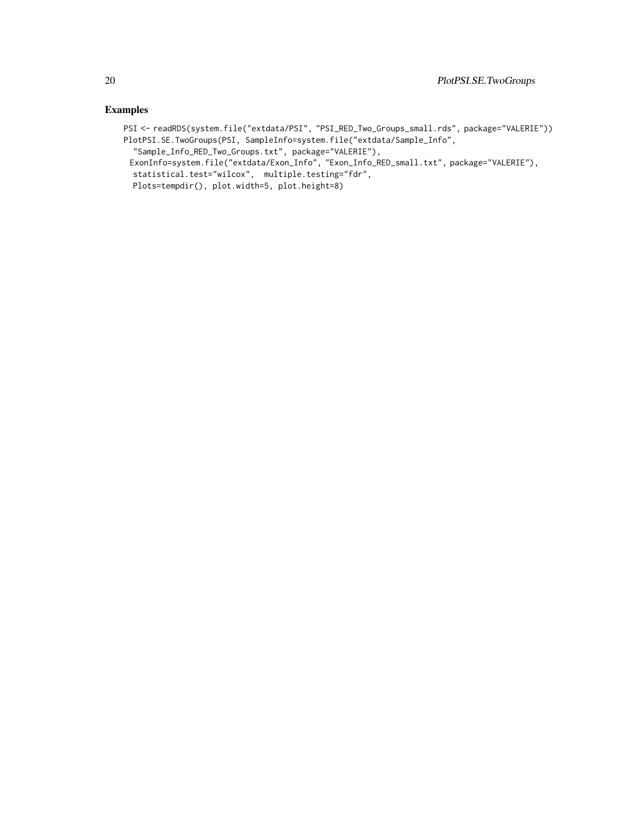PSI <- readRDS(system.file("extdata/PSI", "PSI\_RED\_Two\_Groups\_small.rds", package="VALERIE")) PlotPSI.SE.TwoGroups(PSI, SampleInfo=system.file("extdata/Sample\_Info",

"Sample\_Info\_RED\_Two\_Groups.txt", package="VALERIE"),

ExonInfo=system.file("extdata/Exon\_Info", "Exon\_Info\_RED\_small.txt", package="VALERIE"), statistical.test="wilcox", multiple.testing="fdr",

Plots=tempdir(), plot.width=5, plot.height=8)